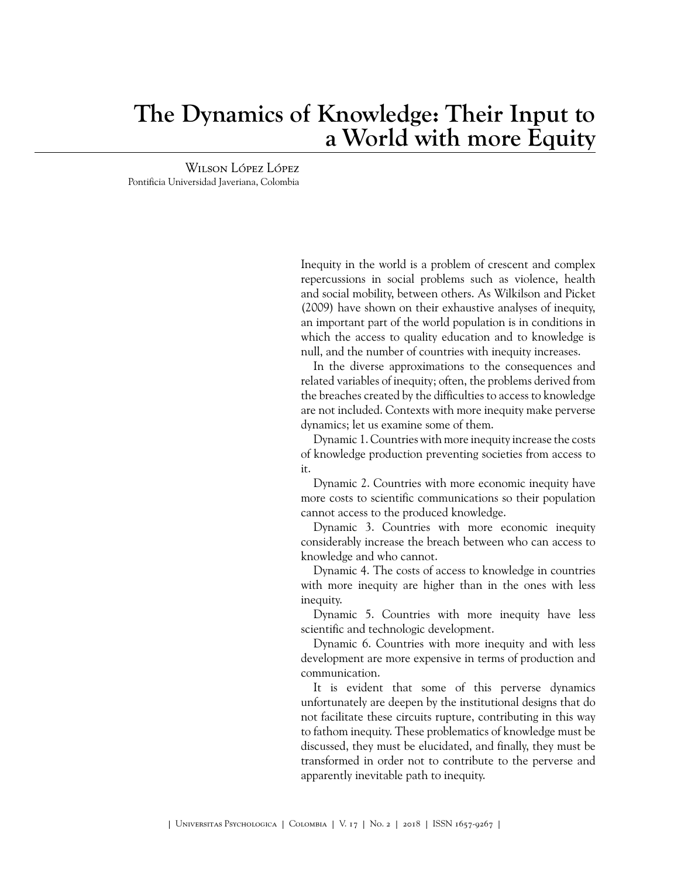## **The Dynamics of Knowledge: Their Input to a World with more Equity**

Wilson López López Pontificia Universidad Javeriana, Colombia

> Inequity in the world is a problem of crescent and complex repercussions in social problems such as violence, health and social mobility, between others. As [Wilkilson and Picket](#page-1-0) [\(2009\)](#page-1-0) have shown on their exhaustive analyses of inequity, an important part of the world population is in conditions in which the access to quality education and to knowledge is null, and the number of countries with inequity increases.

> In the diverse approximations to the consequences and related variables of inequity; often, the problems derived from the breaches created by the difficulties to access to knowledge are not included. Contexts with more inequity make perverse dynamics; let us examine some of them.

> Dynamic 1. Countries with more inequity increase the costs of knowledge production preventing societies from access to it.

> Dynamic 2. Countries with more economic inequity have more costs to scientific communications so their population cannot access to the produced knowledge.

> Dynamic 3. Countries with more economic inequity considerably increase the breach between who can access to knowledge and who cannot.

> Dynamic 4. The costs of access to knowledge in countries with more inequity are higher than in the ones with less inequity.

> Dynamic 5. Countries with more inequity have less scientific and technologic development.

> Dynamic 6. Countries with more inequity and with less development are more expensive in terms of production and communication.

> It is evident that some of this perverse dynamics unfortunately are deepen by the institutional designs that do not facilitate these circuits rupture, contributing in this way to fathom inequity. These problematics of knowledge must be discussed, they must be elucidated, and finally, they must be transformed in order not to contribute to the perverse and apparently inevitable path to inequity.